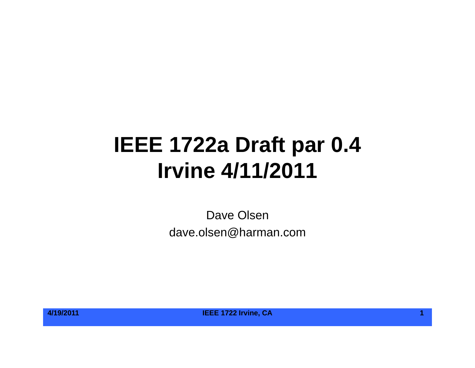# **IEEE 1722a Draft par 0.4 Irvine 4/11/2011**

Dave Olsen dave.olsen@harman.com

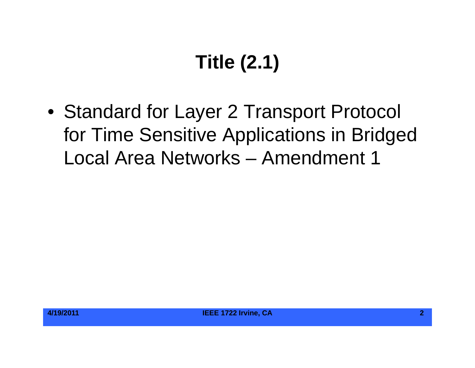# **Title (2.1)**

• Standard for Layer 2 Transport Protocol for Time Sensitive Applications in Bridged Local Area Networks – Amendment 1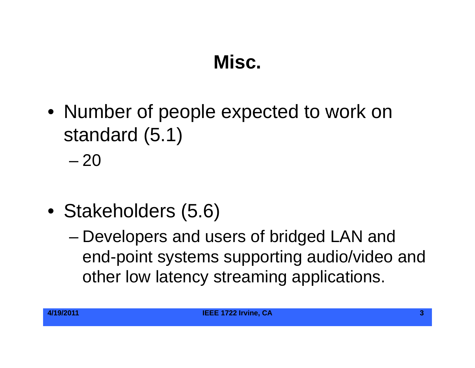#### **Misc.**

• Number of people expected to work on standard (5.1)

– 20

- Stakeholders (5.6)
	- Developers and users of bridged LAN and end-point systems supporting audio/video and other low latency streaming applications.

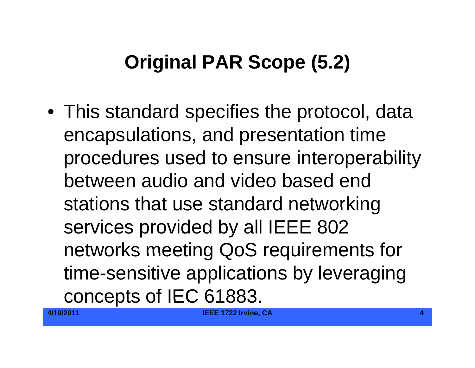# **Original PAR Scope (5.2)**

 $\bullet\,$  This standard specifies the protocol, data encapsulations, and presentation time procedures used to ensure interoperability between audio and video based end stations that use standard networking services provided by all IEEE 802 networks meeting QoS requirements for time-sensitive applications by leveraging concepts of IEC 61883.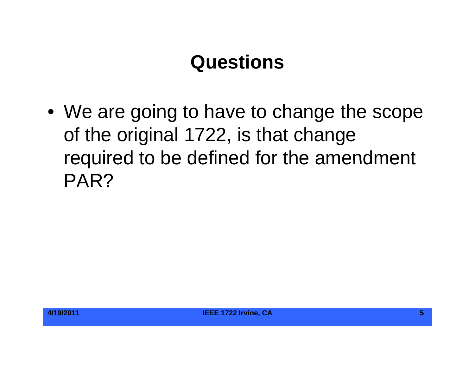#### **Questions**

 $\bullet\,$  We are going to have to change the scope of the original 1722, is that change required to be defined for the amendment PAR?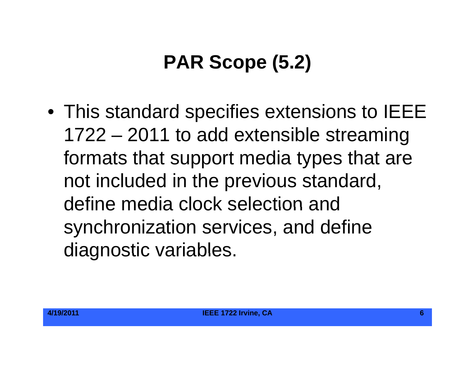# **PAR Scope (5.2)**

• This standard specifies extensions to IEEE 1722 – 2011 to add extensible streaming formats that support media types that are not included in the previous standard, define media clock selection andsynchronization services, and define diagnostic variables.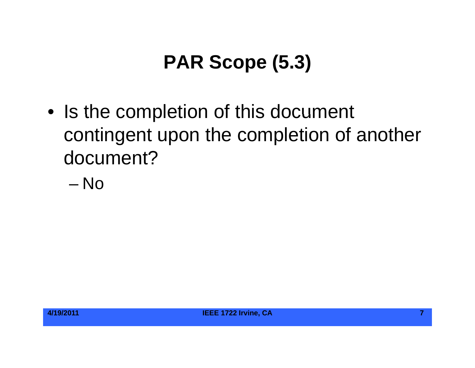# **PAR Scope (5.3)**

- Is the completion of this document contingent upon the completion of another document?
	- No

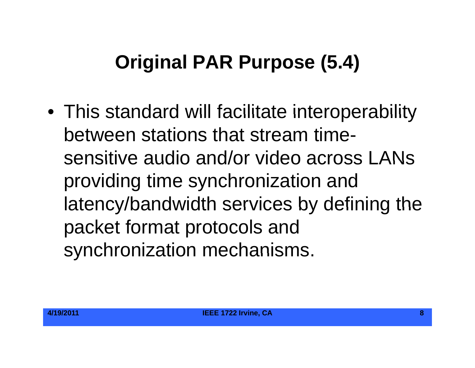## **Original PAR Purpose (5.4)**

• This standard will facilitate interoperability between stations that stream timesensitive audio and/or video across LANs providing time synchronization and latency/bandwidth services by defining the packet format protocols and synchronization mechanisms.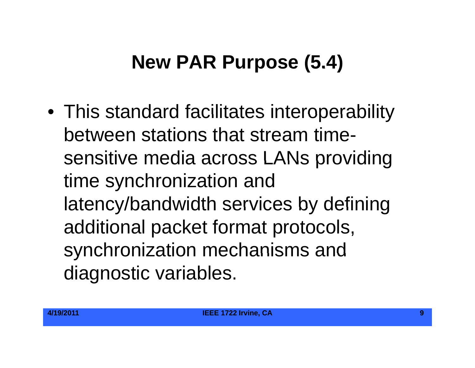## **New PAR Purpose (5.4)**

 $\bullet\,$  This standard facilitates interoperability between stations that stream timesensitive media across LANs providing time synchronization and latency/bandwidth services by defining additional packet format protocols, synchronization mechanisms and diagnostic variables.

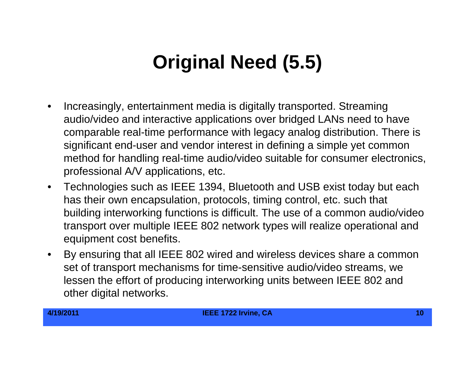## **Original Need (5.5) Original (5.5)**

- $\bullet$  Increasingly, entertainment media is digitally transported. Streaming audio/video and interactive applications over bridged LANs need to have comparable real-time performance with legacy analog distribution. There is significant end-user and vendor interest in defining a simple yet common method for handling real-time audio/video suitable for consumer electronics, professional A/V applications, etc.
- $\bullet$  Technologies such as IEEE 1394, Bluetooth and USB exist today but each has their own encapsulation, protocols, timing control, etc. such that building interworking functions is difficult. The use of a common audio/video transport over multiple IEEE 802 network types will realize operational and equipment cost benefits.
- $\bullet$  $\bullet$  By ensuring that all IEEE 802 wired and wireless devices share a common set of transport mechanisms for time-sensitive audio/video streams, we lessen the effort of producing interworking units between IEEE 802 and other digital networks.